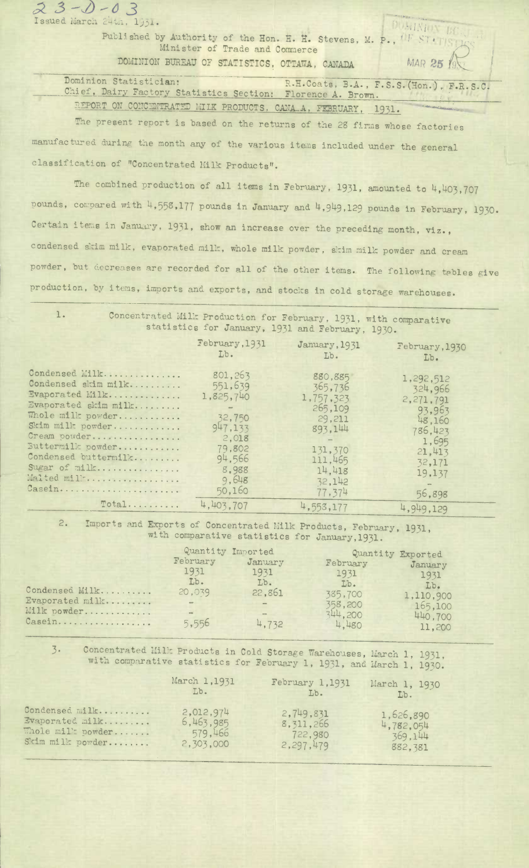| Minister of Trade and Commerce                                                        | Published by Authority of the Hon. H. H. Stevens, M. P., $^{\text{1F-ST}}$ |
|---------------------------------------------------------------------------------------|----------------------------------------------------------------------------|
| DOMINION BUREAU OF STATISTICS, OTTAWA, CANADA/                                        | MAR 25 19                                                                  |
| Dominion Statistician:<br>Chief, Dairy Factory Statistics Section: Florence A. Brown. | R.H.Coats, B.A., F.S.S. (Hon.), F.R.S.C.                                   |
| REPORT ON CONCENTRATED MILK PRODUCTS, CANA A, FEBRUARY, 1931.                         |                                                                            |

The present report is based on the returns of the 28 firms whose factories manufactured during the month any of the various items included under the general classification of "Concentrated **Milk** Products".

 $23 - 0 - 03$ <br>Issued March 24th, 1931.

The combined production of all items in February, 1931, amounted to 4,403,707 pounds, compared with 4,558,177 pounds in January and 4,949,129 pounds in February, 1930. Certain items in January, 1931, show an increase over the preceding month, **viz.,**  condensed stim milk, evaporated milk, whole milk powder, skim milk powder and cream powder, but decreases are recorded for all of the other items. The following tables give production, by items, imports and exports, and stocks in cold storage warehouses.

1. Concentrated Mill: Production for February, 1931, with comparative statistics for January, 1931 and February, 1930.

|                                                                                                                                                                                                                                  | February, 1931<br>Lb.                                                                                         | January, 1931<br>Lb.                                                                                                | February, 1930<br>Lb.                                                                                             |
|----------------------------------------------------------------------------------------------------------------------------------------------------------------------------------------------------------------------------------|---------------------------------------------------------------------------------------------------------------|---------------------------------------------------------------------------------------------------------------------|-------------------------------------------------------------------------------------------------------------------|
| Condensed Milk<br>Condensed skim milk<br>Evaporated Milk<br>Evaporated skim milk<br>Whole milk powder<br>Skim milk powder<br>Cream powder<br>Buttermilk powder<br>Condensed buttermilk<br>Sugar of milk<br>Malted mill<br>Casein | 801,263<br>551,639<br>1,825,740<br>32,750<br>947,133<br>2,018<br>79,802<br>94,566<br>8,988<br>9,648<br>50,160 | 880,885<br>365,736<br>1,757,323<br>265,109<br>29,211<br>893,144<br>131,370<br>111,465<br>14.418<br>32,142<br>77,374 | 1,292,512<br>324,966<br>2,271,791<br>93,963<br>48,160<br>786,423<br>1,695<br>21,413<br>32,171<br>19,137<br>56,898 |
| $Total$                                                                                                                                                                                                                          | 4,403.707                                                                                                     | 4,553,177                                                                                                           | 4,949,129                                                                                                         |

2. Imports and Exports of Concentrated Milk Products, February, 1931, with comparative statistics for January,1931.

| Condensed Milk<br>Evaporated milk<br>Milk powder<br>Casein | Quantity Imported<br>February<br>1931<br>Lb.<br>20,039<br>$\frac{1}{2} \left( \frac{1}{2} \right) \left( \frac{1}{2} \right) \left( \frac{1}{2} \right) \left( \frac{1}{2} \right) \left( \frac{1}{2} \right) \left( \frac{1}{2} \right) \left( \frac{1}{2} \right) \left( \frac{1}{2} \right) \left( \frac{1}{2} \right) \left( \frac{1}{2} \right) \left( \frac{1}{2} \right) \left( \frac{1}{2} \right) \left( \frac{1}{2} \right) \left( \frac{1}{2} \right) \left( \frac{1}{2} \right) \left( \frac{1}{2} \right) \left( \frac$<br>5,556 | January<br>1931<br>Lb.<br>22,861<br>$\sim$<br>4,732 | February<br>1931<br>Lb.<br>385,700<br>358,200<br>344,200<br>4,480 | Quantity Exported<br>January<br>1931<br>Lb.<br>1,110,900<br>165,100<br>440,700<br>11,200 |
|------------------------------------------------------------|-----------------------------------------------------------------------------------------------------------------------------------------------------------------------------------------------------------------------------------------------------------------------------------------------------------------------------------------------------------------------------------------------------------------------------------------------------------------------------------------------------------------------------------------------|-----------------------------------------------------|-------------------------------------------------------------------|------------------------------------------------------------------------------------------|
|                                                            |                                                                                                                                                                                                                                                                                                                                                                                                                                                                                                                                               |                                                     |                                                                   |                                                                                          |

3. Concentrated Milk Products in Cold Storage Warehouses, March 1, 1931. with comparative statistics for February 1, 1931, and March 1, 1930.

|                   | March 1,1931 | February 1,1931 | March 1, 1930 |
|-------------------|--------------|-----------------|---------------|
|                   | Lb.          | Lb.             | Lb.           |
| Condensed milk    | 2,012,974    | 2,749,831       | 1,626,890     |
| Evaporated milk   | 6,463,985    | 8, 311, 266     | 4,782,054     |
| Whole milk powder | 579,466      | 722,980         | 369.144       |
| Skim milk powder  | 2,303,000    | 2,297,479       | 882,381       |